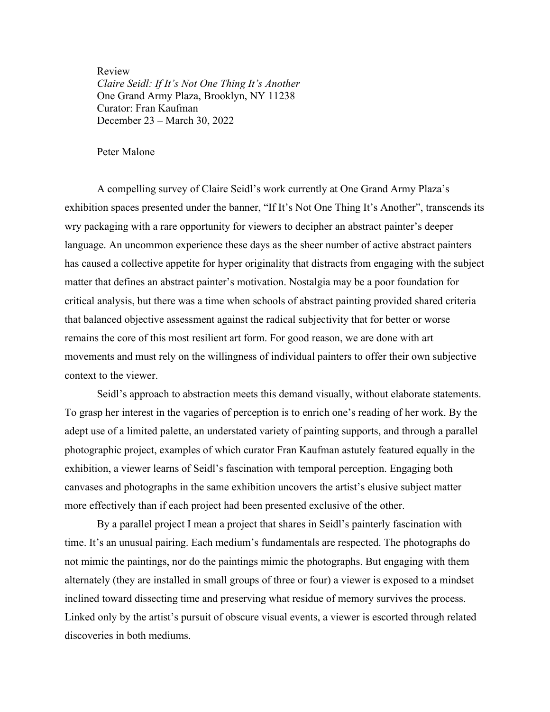Review *Claire Seidl: If It's Not One Thing It's Another* One Grand Army Plaza, Brooklyn, NY 11238 Curator: Fran Kaufman December 23 – March 30, 2022

## Peter Malone

A compelling survey of Claire Seidl's work currently at One Grand Army Plaza's exhibition spaces presented under the banner, "If It's Not One Thing It's Another", transcends its wry packaging with a rare opportunity for viewers to decipher an abstract painter's deeper language. An uncommon experience these days as the sheer number of active abstract painters has caused a collective appetite for hyper originality that distracts from engaging with the subject matter that defines an abstract painter's motivation. Nostalgia may be a poor foundation for critical analysis, but there was a time when schools of abstract painting provided shared criteria that balanced objective assessment against the radical subjectivity that for better or worse remains the core of this most resilient art form. For good reason, we are done with art movements and must rely on the willingness of individual painters to offer their own subjective context to the viewer.

Seidl's approach to abstraction meets this demand visually, without elaborate statements. To grasp her interest in the vagaries of perception is to enrich one's reading of her work. By the adept use of a limited palette, an understated variety of painting supports, and through a parallel photographic project, examples of which curator Fran Kaufman astutely featured equally in the exhibition, a viewer learns of Seidl's fascination with temporal perception. Engaging both canvases and photographs in the same exhibition uncovers the artist's elusive subject matter more effectively than if each project had been presented exclusive of the other.

By a parallel project I mean a project that shares in Seidl's painterly fascination with time. It's an unusual pairing. Each medium's fundamentals are respected. The photographs do not mimic the paintings, nor do the paintings mimic the photographs. But engaging with them alternately (they are installed in small groups of three or four) a viewer is exposed to a mindset inclined toward dissecting time and preserving what residue of memory survives the process. Linked only by the artist's pursuit of obscure visual events, a viewer is escorted through related discoveries in both mediums.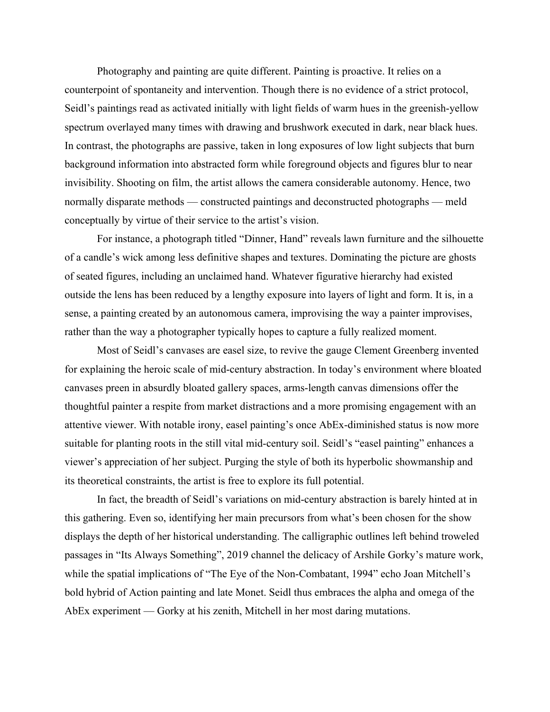Photography and painting are quite different. Painting is proactive. It relies on a counterpoint of spontaneity and intervention. Though there is no evidence of a strict protocol, Seidl's paintings read as activated initially with light fields of warm hues in the greenish-yellow spectrum overlayed many times with drawing and brushwork executed in dark, near black hues. In contrast, the photographs are passive, taken in long exposures of low light subjects that burn background information into abstracted form while foreground objects and figures blur to near invisibility. Shooting on film, the artist allows the camera considerable autonomy. Hence, two normally disparate methods — constructed paintings and deconstructed photographs — meld conceptually by virtue of their service to the artist's vision.

For instance, a photograph titled "Dinner, Hand" reveals lawn furniture and the silhouette of a candle's wick among less definitive shapes and textures. Dominating the picture are ghosts of seated figures, including an unclaimed hand. Whatever figurative hierarchy had existed outside the lens has been reduced by a lengthy exposure into layers of light and form. It is, in a sense, a painting created by an autonomous camera, improvising the way a painter improvises, rather than the way a photographer typically hopes to capture a fully realized moment.

Most of Seidl's canvases are easel size, to revive the gauge Clement Greenberg invented for explaining the heroic scale of mid-century abstraction. In today's environment where bloated canvases preen in absurdly bloated gallery spaces, arms-length canvas dimensions offer the thoughtful painter a respite from market distractions and a more promising engagement with an attentive viewer. With notable irony, easel painting's once AbEx-diminished status is now more suitable for planting roots in the still vital mid-century soil. Seidl's "easel painting" enhances a viewer's appreciation of her subject. Purging the style of both its hyperbolic showmanship and its theoretical constraints, the artist is free to explore its full potential.

In fact, the breadth of Seidl's variations on mid-century abstraction is barely hinted at in this gathering. Even so, identifying her main precursors from what's been chosen for the show displays the depth of her historical understanding. The calligraphic outlines left behind troweled passages in "Its Always Something", 2019 channel the delicacy of Arshile Gorky's mature work, while the spatial implications of "The Eye of the Non-Combatant, 1994" echo Joan Mitchell's bold hybrid of Action painting and late Monet. Seidl thus embraces the alpha and omega of the AbEx experiment — Gorky at his zenith, Mitchell in her most daring mutations.